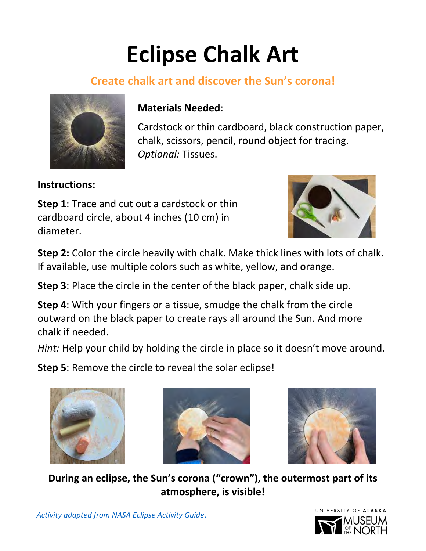## **Eclipse Chalk Art**

## **Create chalk art and discover the Sun's corona!**



## **Materials Needed**:

Cardstock or thin cardboard, black construction paper, chalk, scissors, pencil, round object for tracing. *Optional:* Tissues.

**Instructions:** 

**Step 1**: Trace and cut out a cardstock or thin cardboard circle, about 4 inches (10 cm) in diameter.



**Step 2:** Color the circle heavily with chalk. Make thick lines with lots of chalk. If available, use multiple colors such as white, yellow, and orange.

**Step 3**: Place the circle in the center of the black paper, chalk side up.

**Step 4**: With your fingers or a tissue, smudge the chalk from the circle outward on the black paper to create rays all around the Sun. And more chalk if needed.

*Hint:* Help your child by holding the circle in place so it doesn't move around.

**Step 5**: Remove the circle to reveal the solar eclipse!







**During an eclipse, the Sun's corona ("crown"), the outermost part of its atmosphere, is visible!**